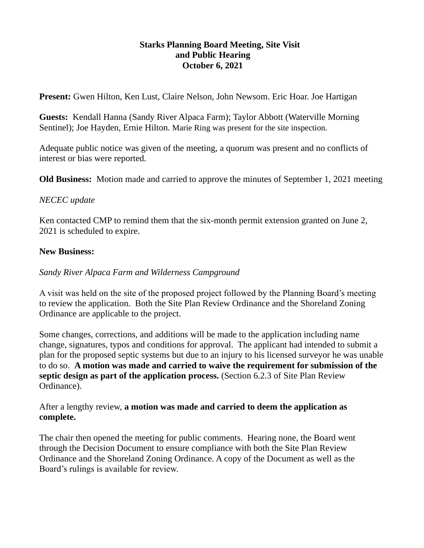## **Starks Planning Board Meeting, Site Visit and Public Hearing October 6, 2021**

**Present:** Gwen Hilton, Ken Lust, Claire Nelson, John Newsom. Eric Hoar. Joe Hartigan

**Guests:** Kendall Hanna (Sandy River Alpaca Farm); Taylor Abbott (Waterville Morning Sentinel); Joe Hayden, Ernie Hilton. Marie Ring was present for the site inspection.

Adequate public notice was given of the meeting, a quorum was present and no conflicts of interest or bias were reported.

**Old Business:** Motion made and carried to approve the minutes of September 1, 2021 meeting

## *NECEC update*

Ken contacted CMP to remind them that the six-month permit extension granted on June 2, 2021 is scheduled to expire.

## **New Business:**

*Sandy River Alpaca Farm and Wilderness Campground*

A visit was held on the site of the proposed project followed by the Planning Board's meeting to review the application. Both the Site Plan Review Ordinance and the Shoreland Zoning Ordinance are applicable to the project.

Some changes, corrections, and additions will be made to the application including name change, signatures, typos and conditions for approval. The applicant had intended to submit a plan for the proposed septic systems but due to an injury to his licensed surveyor he was unable to do so. **A motion was made and carried to waive the requirement for submission of the septic design as part of the application process.** (Section 6.2.3 of Site Plan Review Ordinance).

After a lengthy review, **a motion was made and carried to deem the application as complete.**

The chair then opened the meeting for public comments. Hearing none, the Board went through the Decision Document to ensure compliance with both the Site Plan Review Ordinance and the Shoreland Zoning Ordinance. A copy of the Document as well as the Board's rulings is available for review.